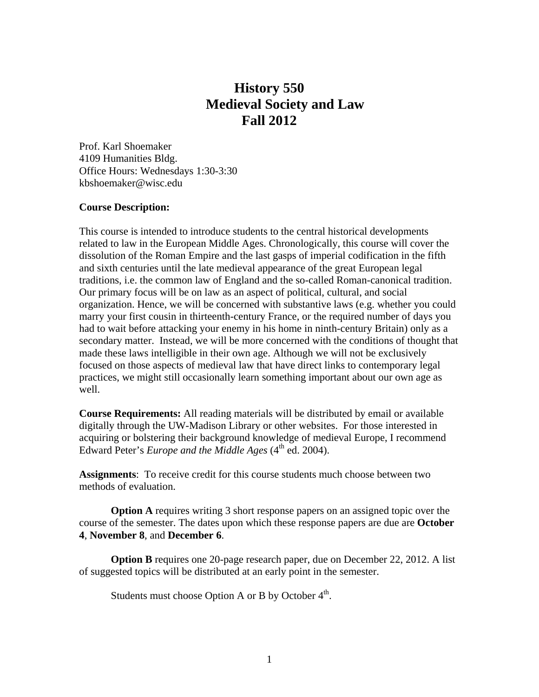## **History 550 Medieval Society and Law Fall 2012**

Prof. Karl Shoemaker 4109 Humanities Bldg. Office Hours: Wednesdays 1:30-3:30 kbshoemaker@wisc.edu

## **Course Description:**

This course is intended to introduce students to the central historical developments related to law in the European Middle Ages. Chronologically, this course will cover the dissolution of the Roman Empire and the last gasps of imperial codification in the fifth and sixth centuries until the late medieval appearance of the great European legal traditions, i.e. the common law of England and the so-called Roman-canonical tradition. Our primary focus will be on law as an aspect of political, cultural, and social organization. Hence, we will be concerned with substantive laws (e.g. whether you could marry your first cousin in thirteenth-century France, or the required number of days you had to wait before attacking your enemy in his home in ninth-century Britain) only as a secondary matter. Instead, we will be more concerned with the conditions of thought that made these laws intelligible in their own age. Although we will not be exclusively focused on those aspects of medieval law that have direct links to contemporary legal practices, we might still occasionally learn something important about our own age as well.

**Course Requirements:** All reading materials will be distributed by email or available digitally through the UW-Madison Library or other websites. For those interested in acquiring or bolstering their background knowledge of medieval Europe, I recommend Edward Peter's *Europe and the Middle Ages* (4<sup>th</sup> ed. 2004).

**Assignments**: To receive credit for this course students much choose between two methods of evaluation.

**Option A** requires writing 3 short response papers on an assigned topic over the course of the semester. The dates upon which these response papers are due are **October 4**, **November 8**, and **December 6**.

**Option B** requires one 20-page research paper, due on December 22, 2012. A list of suggested topics will be distributed at an early point in the semester.

Students must choose Option A or B by October  $4<sup>th</sup>$ .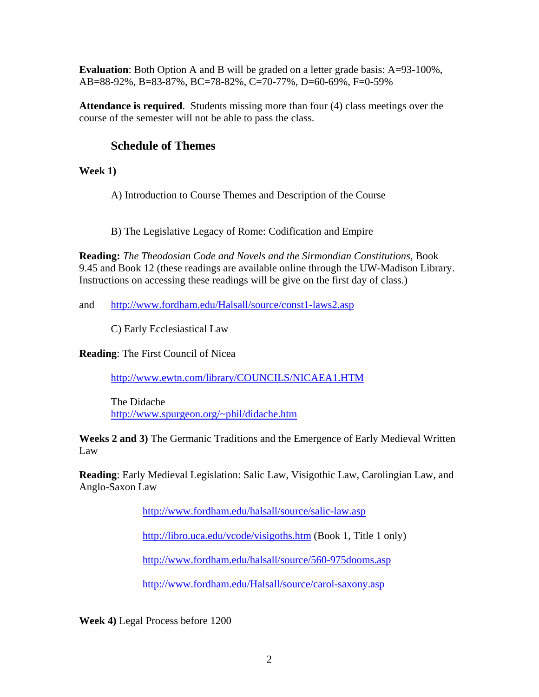**Evaluation**: Both Option A and B will be graded on a letter grade basis: A=93-100%, AB=88-92%, B=83-87%, BC=78-82%, C=70-77%, D=60-69%, F=0-59%

**Attendance is required**. Students missing more than four (4) class meetings over the course of the semester will not be able to pass the class.

## **Schedule of Themes**

**Week 1)** 

A) Introduction to Course Themes and Description of the Course

B) The Legislative Legacy of Rome: Codification and Empire

**Reading:** *The Theodosian Code and Novels and the Sirmondian Constitutions*, Book 9.45 and Book 12 (these readings are available online through the UW-Madison Library. Instructions on accessing these readings will be give on the first day of class.)

and http://www.fordham.edu/Halsall/source/const1-laws2.asp

C) Early Ecclesiastical Law

**Reading**: The First Council of Nicea

http://www.ewtn.com/library/COUNCILS/NICAEA1.HTM

 The Didache http://www.spurgeon.org/~phil/didache.htm

**Weeks 2 and 3)** The Germanic Traditions and the Emergence of Early Medieval Written Law

**Reading**: Early Medieval Legislation: Salic Law, Visigothic Law, Carolingian Law, and Anglo-Saxon Law

http://www.fordham.edu/halsall/source/salic-law.asp

http://libro.uca.edu/vcode/visigoths.htm (Book 1, Title 1 only)

http://www.fordham.edu/halsall/source/560-975dooms.asp

http://www.fordham.edu/Halsall/source/carol-saxony.asp

**Week 4)** Legal Process before 1200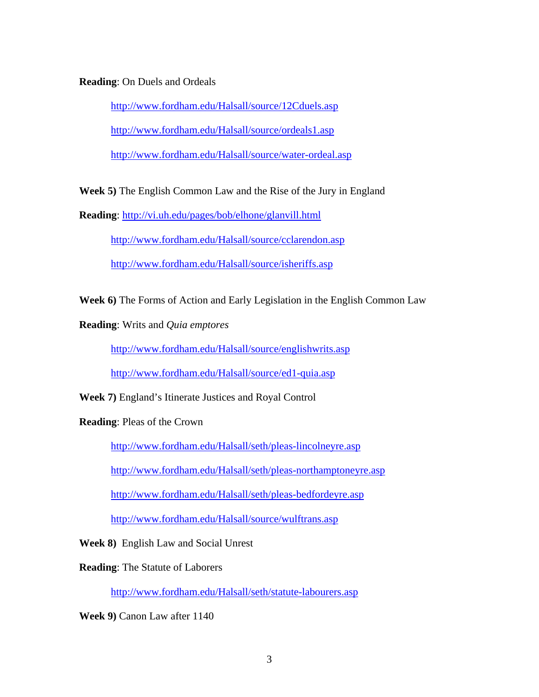## **Reading**: On Duels and Ordeals

http://www.fordham.edu/Halsall/source/12Cduels.asp http://www.fordham.edu/Halsall/source/ordeals1.asp http://www.fordham.edu/Halsall/source/water-ordeal.asp

**Week 5)** The English Common Law and the Rise of the Jury in England

**Reading**: http://vi.uh.edu/pages/bob/elhone/glanvill.html

http://www.fordham.edu/Halsall/source/cclarendon.asp

http://www.fordham.edu/Halsall/source/isheriffs.asp

**Week 6)** The Forms of Action and Early Legislation in the English Common Law

**Reading**: Writs and *Quia emptores* 

http://www.fordham.edu/Halsall/source/englishwrits.asp

http://www.fordham.edu/Halsall/source/ed1-quia.asp

**Week 7)** England's Itinerate Justices and Royal Control

**Reading**: Pleas of the Crown

http://www.fordham.edu/Halsall/seth/pleas-lincolneyre.asp

http://www.fordham.edu/Halsall/seth/pleas-northamptoneyre.asp

http://www.fordham.edu/Halsall/seth/pleas-bedfordeyre.asp

http://www.fordham.edu/Halsall/source/wulftrans.asp

**Week 8)** English Law and Social Unrest

**Reading**: The Statute of Laborers

http://www.fordham.edu/Halsall/seth/statute-labourers.asp

**Week 9)** Canon Law after 1140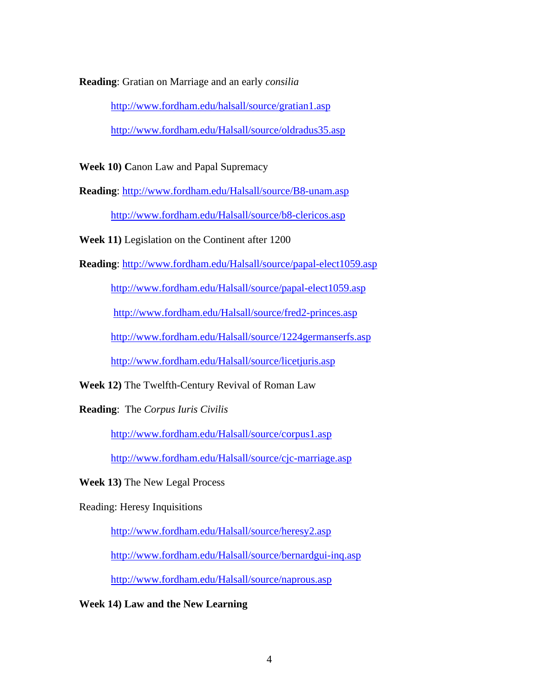**Reading**: Gratian on Marriage and an early *consilia*

http://www.fordham.edu/halsall/source/gratian1.asp http://www.fordham.edu/Halsall/source/oldradus35.asp

**Week 10) C**anon Law and Papal Supremacy

**Reading**: http://www.fordham.edu/Halsall/source/B8-unam.asp

http://www.fordham.edu/Halsall/source/b8-clericos.asp

**Week 11)** Legislation on the Continent after 1200

**Reading**: http://www.fordham.edu/Halsall/source/papal-elect1059.asp

http://www.fordham.edu/Halsall/source/papal-elect1059.asp

http://www.fordham.edu/Halsall/source/fred2-princes.asp

http://www.fordham.edu/Halsall/source/1224germanserfs.asp

http://www.fordham.edu/Halsall/source/licetjuris.asp

**Week 12)** The Twelfth-Century Revival of Roman Law

**Reading**: The *Corpus Iuris Civilis*

http://www.fordham.edu/Halsall/source/corpus1.asp

http://www.fordham.edu/Halsall/source/cjc-marriage.asp

**Week 13)** The New Legal Process

Reading: Heresy Inquisitions

http://www.fordham.edu/Halsall/source/heresy2.asp

http://www.fordham.edu/Halsall/source/bernardgui-inq.asp

http://www.fordham.edu/Halsall/source/naprous.asp

**Week 14) Law and the New Learning**